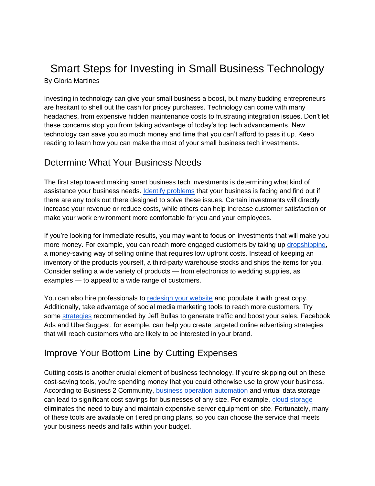### Smart Steps for Investing in Small Business Technology By Gloria Martines

Investing in technology can give your small business a boost, but many budding entrepreneurs are hesitant to shell out the cash for pricey purchases. Technology can come with many headaches, from expensive hidden maintenance costs to frustrating integration issues. Don't let these concerns stop you from taking advantage of today's top tech advancements. New technology can save you so much money and time that you can't afford to pass it up. Keep reading to learn how you can make the most of your small business tech investments.

#### Determine What Your Business Needs

The first step toward making smart business tech investments is determining what kind of assistance your business needs[.](https://enginess.io/insights/solved-with-digital-technology) **[Identify problems](https://enginess.io/insights/solved-with-digital-technology)** that your business is facing and find out if there are any tools out there designed to solve these issues. Certain investments will directly increase your revenue or reduce costs, while others can help increase customer satisfaction or make your work environment more comfortable for you and your employees.

If you're looking for immediate results, you may want to focus on investments that will make you more money. For example, you can reach more engaged customers by taking up [dropshipping,](https://www.salehoo.com/dropship) a money-saving way of selling online that requires low upfront costs. Instead of keeping an inventory of the products yourself, a third-party warehouse stocks and ships the items for you. Consider selling a wide variety of products — from electronics to wedding supplies, as examples — to appeal to a wide range of customers.

You can also hire professionals t[o](https://www.impactbnd.com/blog/8-reasons-you-should-consider-before-you-redesign-your-website) [redesign your website](https://www.impactbnd.com/blog/8-reasons-you-should-consider-before-you-redesign-your-website) and populate it with great copy. Additionally, take advantage of social media marketing tools to reach more customers. Try some [strategies](https://www.jeffbullas.com/business-tools-to-boost-sales/) recommended by Jeff Bullas to generate traffic and boost your sales. Facebook Ads and UberSuggest, for example, can help you create targeted online advertising strategies that will reach customers who are likely to be interested in your brand.

#### Improve Your Bottom Line by Cutting Expenses

Cutting costs is another crucial element of business technology. If you're skipping out on these cost-saving tools, you're spending money that you could otherwise use to grow your business. According to Business 2 Community[,](https://www.business2community.com/business-innovation/how-technology-is-helping-businesses-reduce-cost-02062493) [business operation automation](https://www.business2community.com/business-innovation/how-technology-is-helping-businesses-reduce-cost-02062493) and virtual data storage can lead to significant cost savings for businesses of any size. For example, [cloud storage](https://www.investopedia.com/articles/personal-finance/090715/8-best-cloud-storage-solutions-small-business.asp) eliminates the need to buy and maintain expensive server equipment on site. Fortunately, many of these tools are available on tiered pricing plans, so you can choose the service that meets your business needs and falls within your budget.